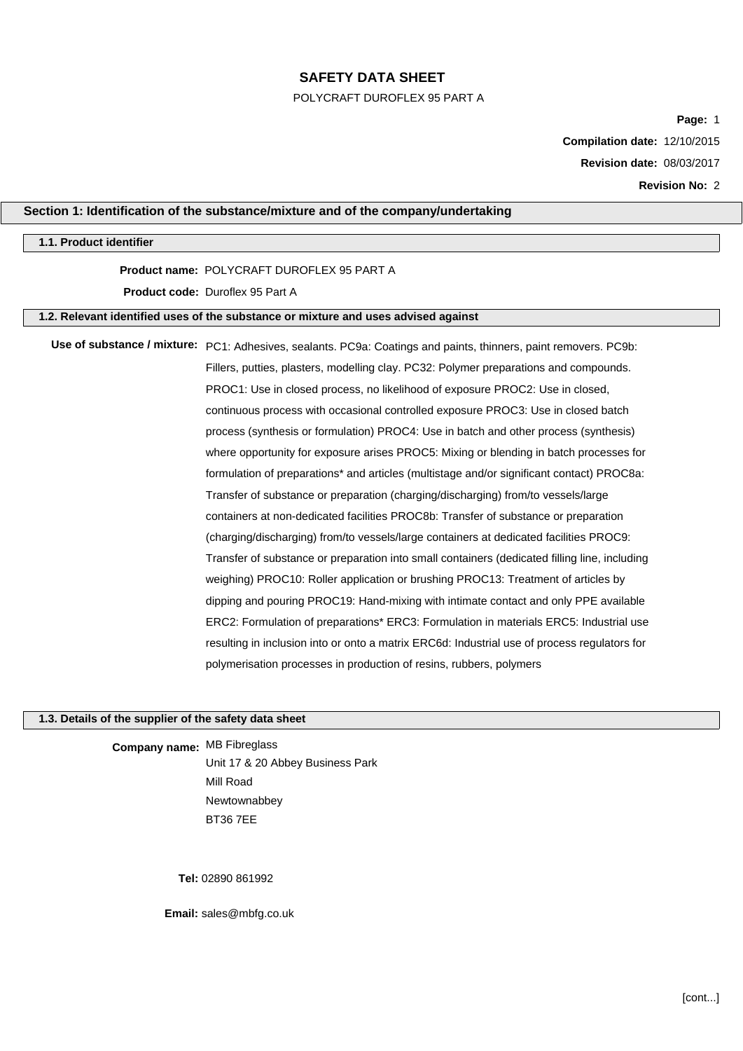#### POLYCRAFT DUROFLEX 95 PART A

**Page:** 1

**Compilation date:** 12/10/2015

**Revision date:** 08/03/2017

**Revision No:** 2

# **Section 1: Identification of the substance/mixture and of the company/undertaking**

### **1.1. Product identifier**

# **Product name:** POLYCRAFT DUROFLEX 95 PART A

**Product code:** Duroflex 95 Part A

# **1.2. Relevant identified uses of the substance or mixture and uses advised against**

**Use of substance / mixture:** PC1: Adhesives, sealants. PC9a: Coatings and paints, thinners, paint removers. PC9b: Fillers, putties, plasters, modelling clay. PC32: Polymer preparations and compounds. PROC1: Use in closed process, no likelihood of exposure PROC2: Use in closed, continuous process with occasional controlled exposure PROC3: Use in closed batch process (synthesis or formulation) PROC4: Use in batch and other process (synthesis) where opportunity for exposure arises PROC5: Mixing or blending in batch processes for formulation of preparations\* and articles (multistage and/or significant contact) PROC8a: Transfer of substance or preparation (charging/discharging) from/to vessels/large containers at non-dedicated facilities PROC8b: Transfer of substance or preparation (charging/discharging) from/to vessels/large containers at dedicated facilities PROC9: Transfer of substance or preparation into small containers (dedicated filling line, including weighing) PROC10: Roller application or brushing PROC13: Treatment of articles by dipping and pouring PROC19: Hand-mixing with intimate contact and only PPE available ERC2: Formulation of preparations\* ERC3: Formulation in materials ERC5: Industrial use resulting in inclusion into or onto a matrix ERC6d: Industrial use of process regulators for polymerisation processes in production of resins, rubbers, polymers

# **1.3. Details of the supplier of the safety data sheet**

**Company name:** MB Fibreglass Unit 17 & 20 Abbey Business Park Mill Road Newtownabbey BT36 7EE

**Tel:** 02890 861992

**Email:** sales@mbfg.co.uk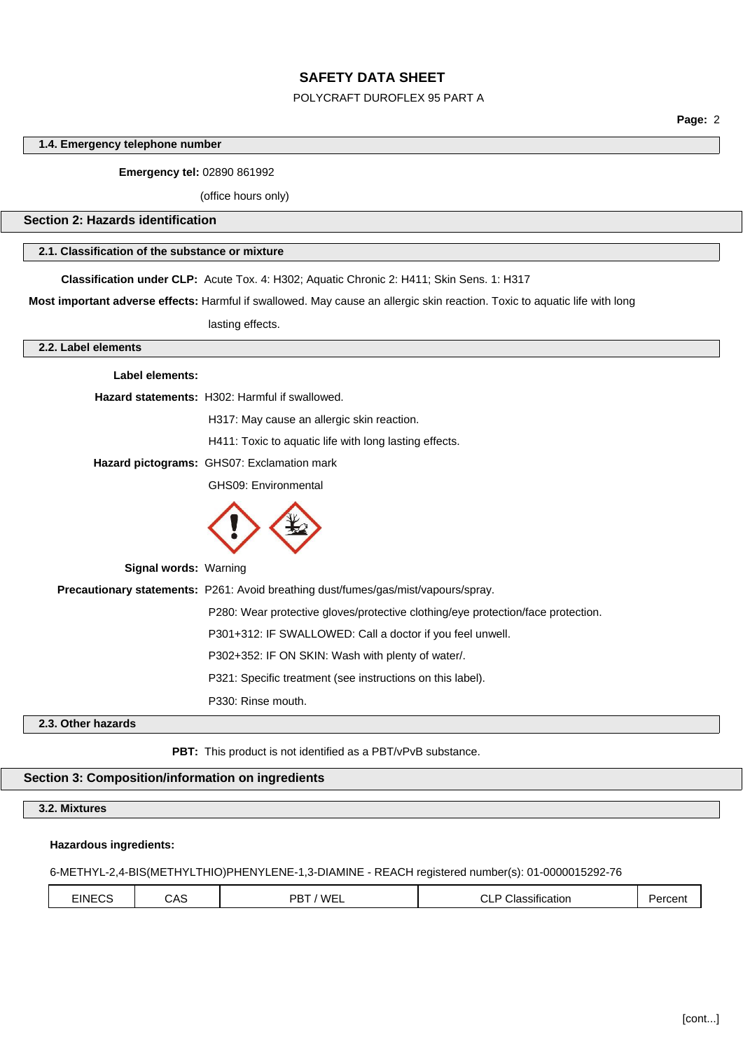#### POLYCRAFT DUROFLEX 95 PART A

**Page:** 2

## **1.4. Emergency telephone number**

## **Emergency tel:** 02890 861992

(office hours only)

### **Section 2: Hazards identification**

## **2.1. Classification of the substance or mixture**

**Classification under CLP:** Acute Tox. 4: H302; Aquatic Chronic 2: H411; Skin Sens. 1: H317

**Most important adverse effects:** Harmful if swallowed. May cause an allergic skin reaction. Toxic to aquatic life with long

lasting effects.

### **2.2. Label elements**

| Label elements:              |                                                                                    |
|------------------------------|------------------------------------------------------------------------------------|
|                              | Hazard statements: H302: Harmful if swallowed.                                     |
|                              | H317: May cause an allergic skin reaction.                                         |
|                              | H411: Toxic to aquatic life with long lasting effects.                             |
|                              | Hazard pictograms: GHS07: Exclamation mark                                         |
|                              | GHS09: Environmental                                                               |
|                              |                                                                                    |
| <b>Signal words: Warning</b> |                                                                                    |
|                              | Precautionary statements: P261: Avoid breathing dust/fumes/gas/mist/vapours/spray. |
|                              | P280: Wear protective gloves/protective clothing/eye protection/face protection.   |
|                              | P301+312: IF SWALLOWED: Call a doctor if you feel unwell.                          |
|                              | P302+352: IF ON SKIN: Wash with plenty of water/.                                  |
|                              | P321: Specific treatment (see instructions on this label).                         |
|                              | P330: Rinse mouth.                                                                 |
| 2.3. Other hazards           |                                                                                    |

## **PBT:** This product is not identified as a PBT/vPvB substance.

## **Section 3: Composition/information on ingredients**

**3.2. Mixtures**

### **Hazardous ingredients:**

## 6-METHYL-2,4-BIS(METHYLTHIO)PHENYLENE-1,3-DIAMINE - REACH registered number(s): 01-0000015292-76

| EINECS | CAS | 'WEL<br>־סם<br>້ | $\cdots$<br>$\sim$<br>Classification<br>◡∟ | Percent |
|--------|-----|------------------|--------------------------------------------|---------|
|        |     |                  |                                            |         |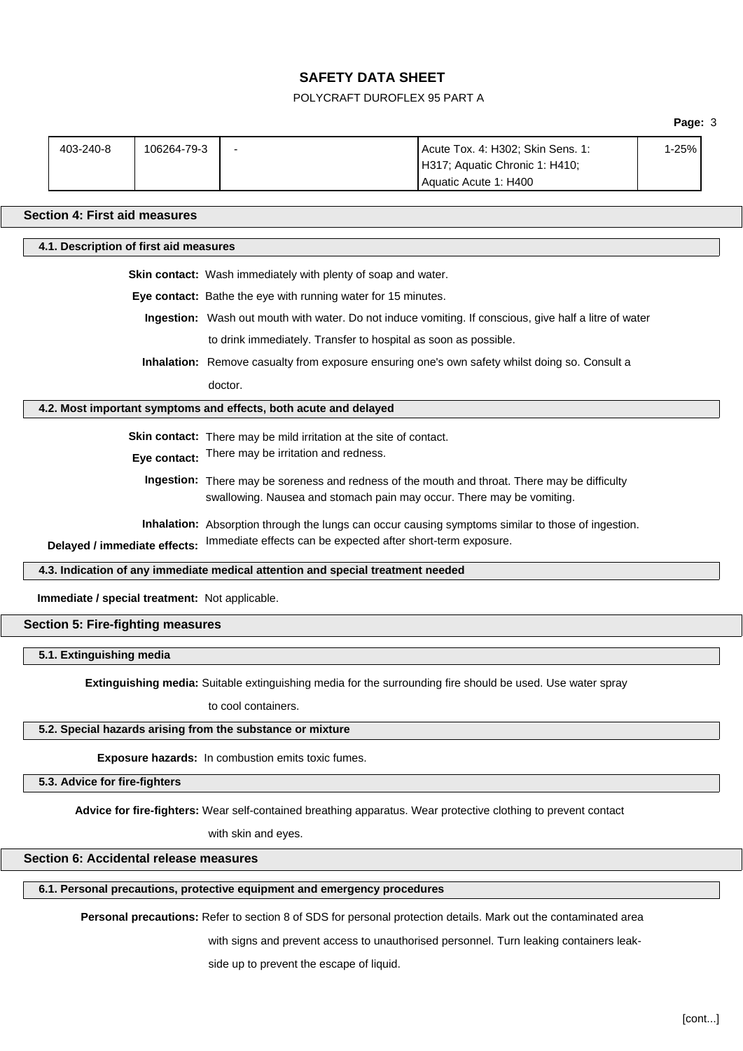# POLYCRAFT DUROFLEX 95 PART A

|                                          | 403-240-8                                                                                                                                                              | 106264-79-3 |                                                                                 | Acute Tox. 4: H302; Skin Sens. 1:<br>H317; Aquatic Chronic 1: H410;<br>Aquatic Acute 1: H400                   | 1-25% |
|------------------------------------------|------------------------------------------------------------------------------------------------------------------------------------------------------------------------|-------------|---------------------------------------------------------------------------------|----------------------------------------------------------------------------------------------------------------|-------|
|                                          | <b>Section 4: First aid measures</b>                                                                                                                                   |             |                                                                                 |                                                                                                                |       |
|                                          | 4.1. Description of first aid measures                                                                                                                                 |             |                                                                                 |                                                                                                                |       |
|                                          |                                                                                                                                                                        |             | Skin contact: Wash immediately with plenty of soap and water.                   |                                                                                                                |       |
|                                          |                                                                                                                                                                        |             | Eye contact: Bathe the eye with running water for 15 minutes.                   |                                                                                                                |       |
|                                          |                                                                                                                                                                        |             |                                                                                 | Ingestion: Wash out mouth with water. Do not induce vomiting. If conscious, give half a litre of water         |       |
|                                          |                                                                                                                                                                        |             | to drink immediately. Transfer to hospital as soon as possible.                 |                                                                                                                |       |
|                                          |                                                                                                                                                                        |             |                                                                                 | Inhalation: Remove casualty from exposure ensuring one's own safety whilst doing so. Consult a                 |       |
|                                          |                                                                                                                                                                        |             | doctor.                                                                         |                                                                                                                |       |
|                                          |                                                                                                                                                                        |             | 4.2. Most important symptoms and effects, both acute and delayed                |                                                                                                                |       |
|                                          |                                                                                                                                                                        |             |                                                                                 |                                                                                                                |       |
|                                          | Skin contact: There may be mild irritation at the site of contact.                                                                                                     |             |                                                                                 |                                                                                                                |       |
|                                          | Eye contact: There may be irritation and redness.                                                                                                                      |             |                                                                                 |                                                                                                                |       |
|                                          | Ingestion: There may be soreness and redness of the mouth and throat. There may be difficulty<br>swallowing. Nausea and stomach pain may occur. There may be vomiting. |             |                                                                                 |                                                                                                                |       |
|                                          |                                                                                                                                                                        |             |                                                                                 |                                                                                                                |       |
|                                          |                                                                                                                                                                        |             |                                                                                 | Inhalation: Absorption through the lungs can occur causing symptoms similar to those of ingestion.             |       |
|                                          | Immediate effects can be expected after short-term exposure.<br>Delayed / immediate effects:                                                                           |             |                                                                                 |                                                                                                                |       |
|                                          |                                                                                                                                                                        |             | 4.3. Indication of any immediate medical attention and special treatment needed |                                                                                                                |       |
|                                          | Immediate / special treatment: Not applicable.                                                                                                                         |             |                                                                                 |                                                                                                                |       |
| <b>Section 5: Fire-fighting measures</b> |                                                                                                                                                                        |             |                                                                                 |                                                                                                                |       |
|                                          | 5.1. Extinguishing media                                                                                                                                               |             |                                                                                 |                                                                                                                |       |
|                                          |                                                                                                                                                                        |             |                                                                                 | Extinguishing media: Suitable extinguishing media for the surrounding fire should be used. Use water spray     |       |
|                                          | to cool containers.                                                                                                                                                    |             |                                                                                 |                                                                                                                |       |
|                                          |                                                                                                                                                                        |             | 5.2. Special hazards arising from the substance or mixture                      |                                                                                                                |       |
|                                          |                                                                                                                                                                        |             |                                                                                 |                                                                                                                |       |
|                                          |                                                                                                                                                                        |             | Exposure hazards: In combustion emits toxic fumes.                              |                                                                                                                |       |
|                                          | 5.3. Advice for fire-fighters                                                                                                                                          |             |                                                                                 |                                                                                                                |       |
|                                          |                                                                                                                                                                        |             |                                                                                 | Advice for fire-fighters: Wear self-contained breathing apparatus. Wear protective clothing to prevent contact |       |

with skin and eyes.

# **Section 6: Accidental release measures**

# **6.1. Personal precautions, protective equipment and emergency procedures**

**Personal precautions:** Refer to section 8 of SDS for personal protection details. Mark out the contaminated area

with signs and prevent access to unauthorised personnel. Turn leaking containers leak-

side up to prevent the escape of liquid.

**Page:** 3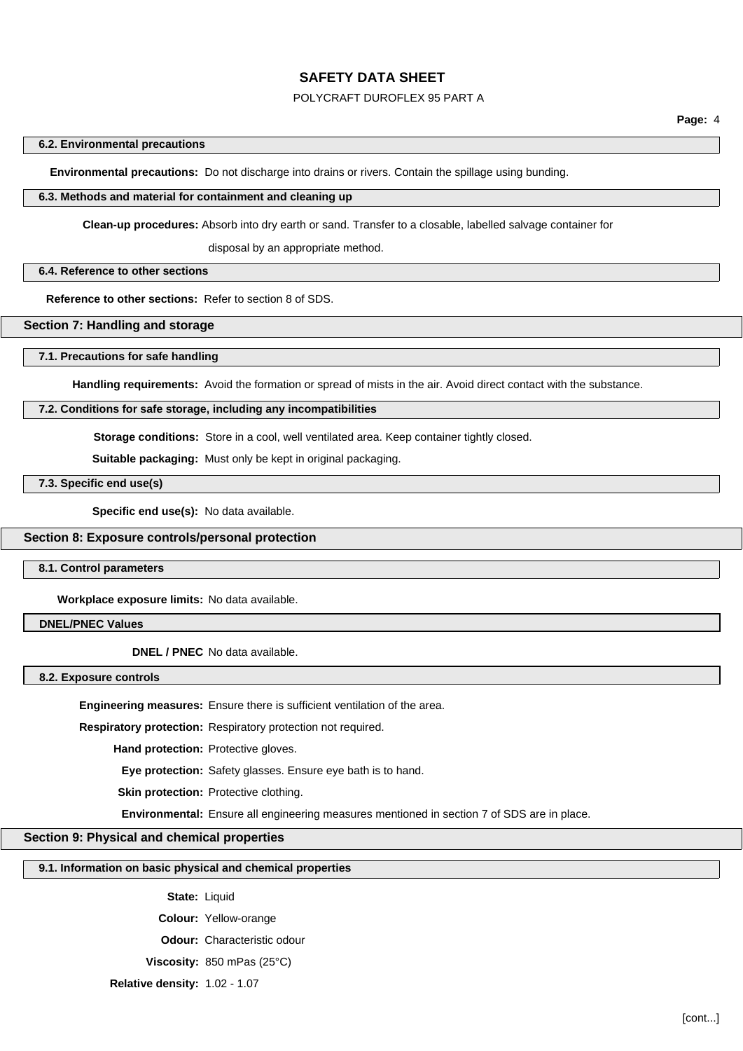#### POLYCRAFT DUROFLEX 95 PART A

#### **6.2. Environmental precautions**

**Environmental precautions:** Do not discharge into drains or rivers. Contain the spillage using bunding.

#### **6.3. Methods and material for containment and cleaning up**

**Clean-up procedures:** Absorb into dry earth or sand. Transfer to a closable, labelled salvage container for

disposal by an appropriate method.

#### **6.4. Reference to other sections**

**Reference to other sections:** Refer to section 8 of SDS.

#### **Section 7: Handling and storage**

#### **7.1. Precautions for safe handling**

**Handling requirements:** Avoid the formation or spread of mists in the air. Avoid direct contact with the substance.

#### **7.2. Conditions for safe storage, including any incompatibilities**

**Storage conditions:** Store in a cool, well ventilated area. Keep container tightly closed.

**Suitable packaging:** Must only be kept in original packaging.

## **7.3. Specific end use(s)**

**Specific end use(s):** No data available.

### **Section 8: Exposure controls/personal protection**

**8.1. Control parameters**

**Workplace exposure limits:** No data available.

#### **DNEL/PNEC Values**

**DNEL / PNEC** No data available.

**8.2. Exposure controls**

**Engineering measures:** Ensure there is sufficient ventilation of the area.

**Respiratory protection:** Respiratory protection not required.

**Hand protection:** Protective gloves.

**Eye protection:** Safety glasses. Ensure eye bath is to hand.

**Skin protection:** Protective clothing.

**Environmental:** Ensure all engineering measures mentioned in section 7 of SDS are in place.

### **Section 9: Physical and chemical properties**

# **9.1. Information on basic physical and chemical properties**

**State:** Liquid

**Colour:** Yellow-orange

**Odour:** Characteristic odour

**Viscosity:** 850 mPas (25°C)

**Relative density:** 1.02 - 1.07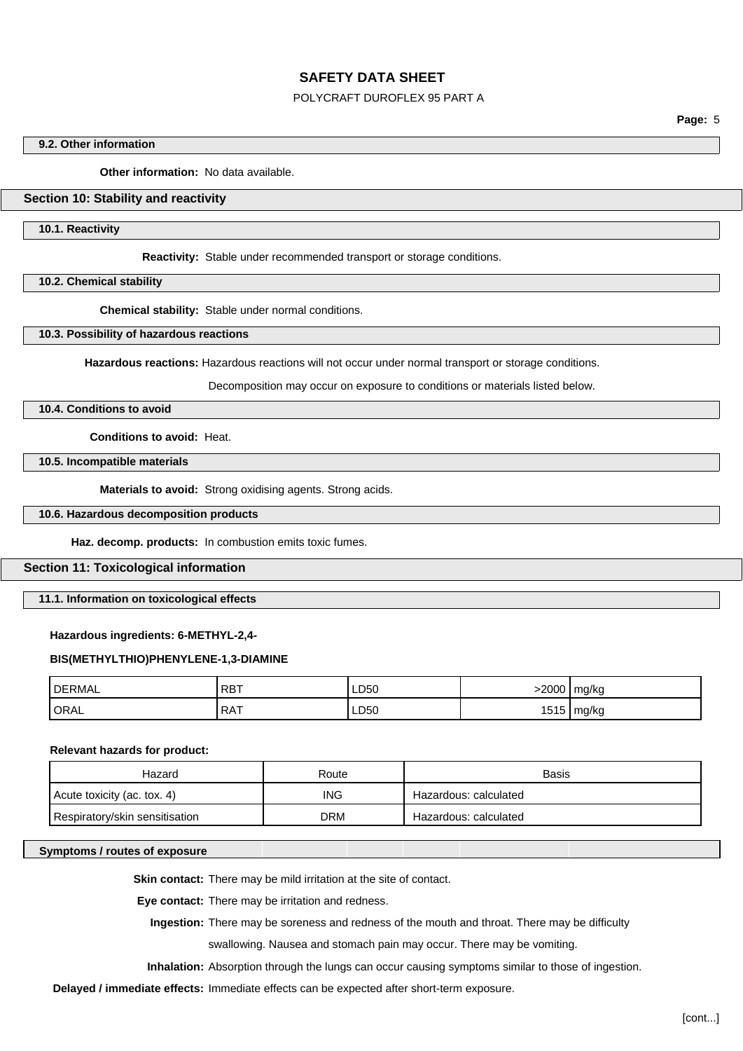### POLYCRAFT DUROFLEX 95 PART A

**Page:** 5

#### **9.2. Other information**

**Other information:** No data available.

## **Section 10: Stability and reactivity**

**10.1. Reactivity**

**Reactivity:** Stable under recommended transport or storage conditions.

**10.2. Chemical stability**

**Chemical stability:** Stable under normal conditions.

**10.3. Possibility of hazardous reactions**

**Hazardous reactions:** Hazardous reactions will not occur under normal transport or storage conditions.

Decomposition may occur on exposure to conditions or materials listed below.

# **10.4. Conditions to avoid**

**Conditions to avoid:** Heat.

**10.5. Incompatible materials**

**Materials to avoid:** Strong oxidising agents. Strong acids.

**10.6. Hazardous decomposition products**

**Haz. decomp. products:** In combustion emits toxic fumes.

### **Section 11: Toxicological information**

**11.1. Information on toxicological effects**

#### **Hazardous ingredients: 6-METHYL-2,4-**

#### **BIS(METHYLTHIO)PHENYLENE-1,3-DIAMINE**

| <b>DERMAL</b> | RBT        | LD50 | -2000 | mg/kg |
|---------------|------------|------|-------|-------|
| <b>ORAL</b>   | <b>RAT</b> | LD50 | 1515  | mg/kg |

#### **Relevant hazards for product:**

| Hazard                         | Route      | <b>Basis</b>          |
|--------------------------------|------------|-----------------------|
| Acute toxicity (ac. tox. 4)    | ING        | Hazardous: calculated |
| Respiratory/skin sensitisation | <b>DRM</b> | Hazardous: calculated |

#### **Symptoms / routes of exposure**

**Skin contact:** There may be mild irritation at the site of contact.

**Eye contact:** There may be irritation and redness.

**Ingestion:** There may be soreness and redness of the mouth and throat. There may be difficulty

swallowing. Nausea and stomach pain may occur. There may be vomiting.

**Inhalation:** Absorption through the lungs can occur causing symptoms similar to those of ingestion.

**Delayed / immediate effects:** Immediate effects can be expected after short-term exposure.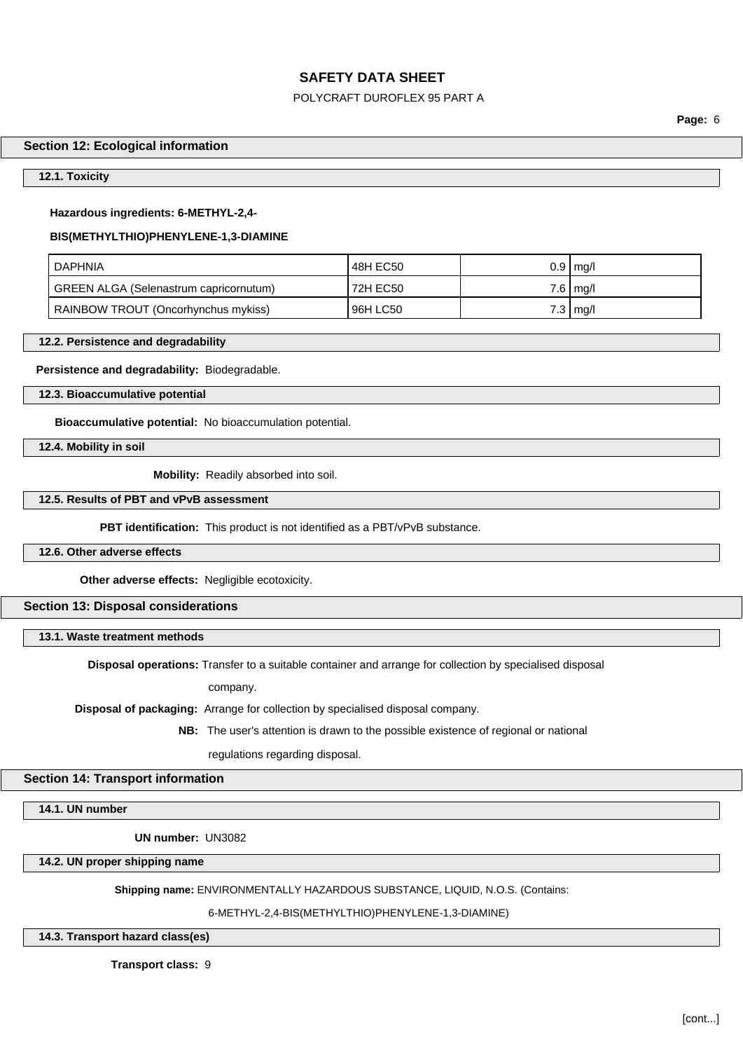## POLYCRAFT DUROFLEX 95 PART A

**Page:** 6

## **Section 12: Ecological information**

#### **12.1. Toxicity**

#### **Hazardous ingredients: 6-METHYL-2,4-**

#### **BIS(METHYLTHIO)PHENYLENE-1,3-DIAMINE**

| <b>DAPHNIA</b>                         | 48H EC50 |     | $0.9 \mid$ mg/l |
|----------------------------------------|----------|-----|-----------------|
| GREEN ALGA (Selenastrum capricornutum) | 72H EC50 |     | $7.6 \mid$ mg/l |
| RAINBOW TROUT (Oncorhynchus mykiss)    | 96H LC50 | 7.3 | `   mg/l        |

**12.2. Persistence and degradability**

**Persistence and degradability:** Biodegradable.

**12.3. Bioaccumulative potential**

**Bioaccumulative potential:** No bioaccumulation potential.

**12.4. Mobility in soil**

**Mobility:** Readily absorbed into soil.

# **12.5. Results of PBT and vPvB assessment**

**PBT identification:** This product is not identified as a PBT/vPvB substance.

## **12.6. Other adverse effects**

**Other adverse effects:** Negligible ecotoxicity.

**Section 13: Disposal considerations**

**13.1. Waste treatment methods**

**Disposal operations:** Transfer to a suitable container and arrange for collection by specialised disposal

company.

**Disposal of packaging:** Arrange for collection by specialised disposal company.

**NB:** The user's attention is drawn to the possible existence of regional or national

regulations regarding disposal.

## **Section 14: Transport information**

**14.1. UN number**

**UN number:** UN3082

**14.2. UN proper shipping name**

**Shipping name:** ENVIRONMENTALLY HAZARDOUS SUBSTANCE, LIQUID, N.O.S. (Contains:

6-METHYL-2,4-BIS(METHYLTHIO)PHENYLENE-1,3-DIAMINE)

#### **14.3. Transport hazard class(es)**

**Transport class:** 9